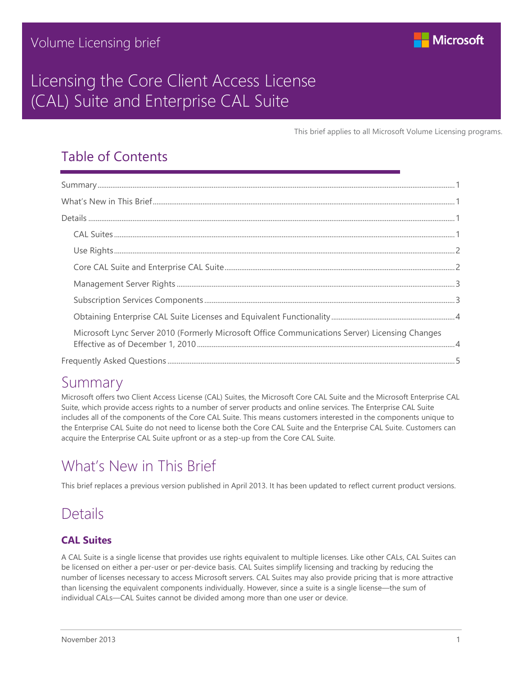

# Licensing the Core Client Access License (CAL) Suite and Enterprise CAL Suite

This brief applies to all Microsoft Volume Licensing programs.

## Table of Contents

| Microsoft Lync Server 2010 (Formerly Microsoft Office Communications Server) Licensing Changes |  |
|------------------------------------------------------------------------------------------------|--|
|                                                                                                |  |

## <span id="page-0-0"></span>Summary

Microsoft offers two Client Access License (CAL) Suites, the Microsoft Core CAL Suite and the Microsoft Enterprise CAL Suite, which provide access rights to a number of server products and online services. The Enterprise CAL Suite includes all of the components of the Core CAL Suite. This means customers interested in the components unique to the Enterprise CAL Suite do not need to license both the Core CAL Suite and the Enterprise CAL Suite. Customers can acquire the Enterprise CAL Suite upfront or as a step-up from the Core CAL Suite.

# <span id="page-0-1"></span>What's New in This Brief

This brief replaces a previous version published in April 2013. It has been updated to reflect current product versions.

# <span id="page-0-2"></span>**Details**

### <span id="page-0-3"></span>**CAL Suites**

A CAL Suite is a single license that provides use rights equivalent to multiple licenses. Like other CALs, CAL Suites can be licensed on either a per-user or per-device basis. CAL Suites simplify licensing and tracking by reducing the number of licenses necessary to access Microsoft servers. CAL Suites may also provide pricing that is more attractive than licensing the equivalent components individually. However, since a suite is a single license—the sum of individual CALs—CAL Suites cannot be divided among more than one user or device.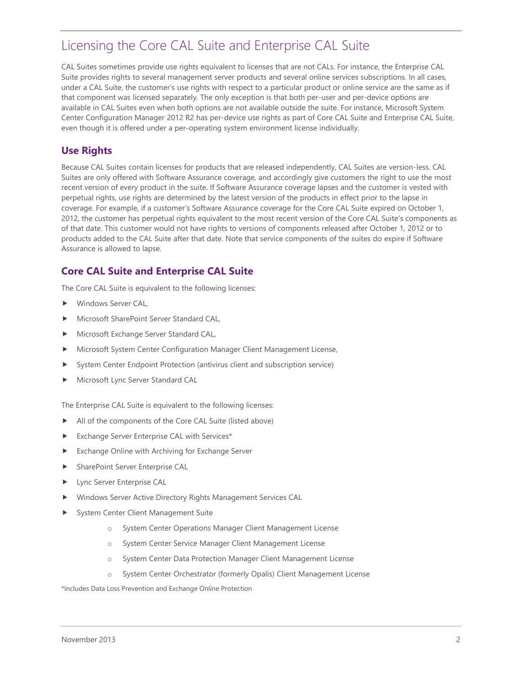CAL Suites sometimes provide use rights equivalent to licenses that are not CALs. For instance, the Enterprise CAL Suite provides rights to several management server products and several online services subscriptions. In all cases, under a CAL Suite, the customer's use rights with respect to a particular product or online service are the same as if that component was licensed separately. The only exception is that both per-user and per-device options are available in CAL Suites even when both options are not available outside the suite. For instance, Microsoft System Center Configuration Manager 2012 R2 has per-device use rights as part of Core CAL Suite and Enterprise CAL Suite, even though it is offered under a per-operating system environment license individually.

### <span id="page-1-0"></span>**Use Rights**

Because CAL Suites contain licenses for products that are released independently, CAL Suites are version-less. CAL Suites are only offered with Software Assurance coverage, and accordingly give customers the right to use the most recent version of every product in the suite. If Software Assurance coverage lapses and the customer is vested with perpetual rights, use rights are determined by the latest version of the products in effect prior to the lapse in coverage. For example, if a customer's Software Assurance coverage for the Core CAL Suite expired on October 1, 2012, the customer has perpetual rights equivalent to the most recent version of the Core CAL Suite's components as of that date. This customer would not have rights to versions of components released after October 1, 2012 or to products added to the CAL Suite after that date. Note that service components of the suites do expire if Software Assurance is allowed to lapse.

### <span id="page-1-1"></span>**Core CAL Suite and Enterprise CAL Suite**

The Core CAL Suite is equivalent to the following licenses:

- Windows Server CAL,
- Microsoft SharePoint Server Standard CAL,
- Microsoft Exchange Server Standard CAL,
- Microsoft System Center Configuration Manager Client Management License,
- System Center Endpoint Protection (antivirus client and subscription service)
- Microsoft Lync Server Standard CAL

The Enterprise CAL Suite is equivalent to the following licenses:

- All of the components of the Core CAL Suite (listed above)
- Exchange Server Enterprise CAL with Services\*
- Exchange Online with Archiving for Exchange Server
- **SharePoint Server Enterprise CAL**
- **Lync Server Enterprise CAL**
- Windows Server Active Directory Rights Management Services CAL
- System Center Client Management Suite
	- o System Center Operations Manager Client Management License
	- o System Center Service Manager Client Management License
	- o System Center Data Protection Manager Client Management License
	- o System Center Orchestrator (formerly Opalis) Client Management License

\*Includes Data Loss Prevention and Exchange Online Protection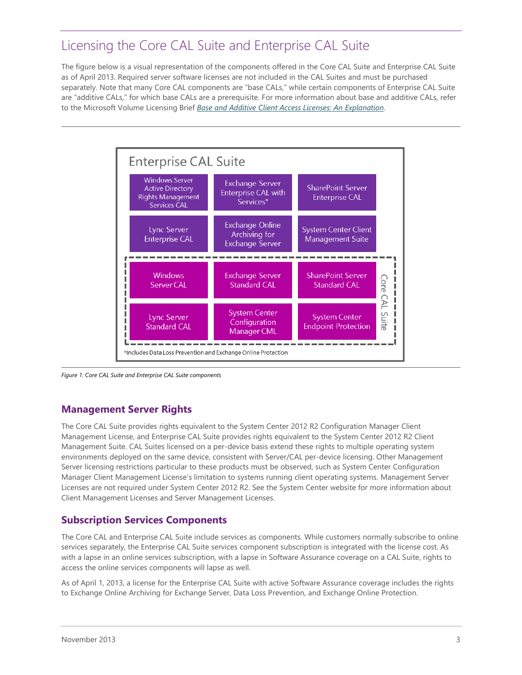The figure below is a visual representation of the components offered in the Core CAL Suite and Enterprise CAL Suite as of April 2013. Required server software licenses are not included in the CAL Suites and must be purchased separately. Note that many Core CAL components are "base CALs," while certain components of Enterprise CAL Suite are "additive CALs," for which base CALs are a prerequisite. For more information about base and additive CALs, refer to the Microsoft Volume Licensing Brief *[Base and Additive Client Access Licenses: An Explanation](http://www.microsoft.com/licensing/about-licensing/briefs/cal-add.aspx)*.



*Figure 1: Core CAL Suite and Enterprise CAL Suite components*

### <span id="page-2-0"></span>**Management Server Rights**

The Core CAL Suite provides rights equivalent to the System Center 2012 R2 Configuration Manager Client Management License, and Enterprise CAL Suite provides rights equivalent to the System Center 2012 R2 Client Management Suite. CAL Suites licensed on a per-device basis extend these rights to multiple operating system environments deployed on the same device, consistent with Server/CAL per-device licensing. Other Management Server licensing restrictions particular to these products must be observed, such as System Center Configuration Manager Client Management License's limitation to systems running client operating systems. Management Server Licenses are not required under System Center 2012 R2. See the System Center website for more information about Client Management Licenses and Server Management Licenses.

### <span id="page-2-1"></span>**Subscription Services Components**

The Core CAL and Enterprise CAL Suite include services as components. While customers normally subscribe to online services separately, the Enterprise CAL Suite services component subscription is integrated with the license cost. As with a lapse in an online services subscription, with a lapse in Software Assurance coverage on a CAL Suite, rights to access the online services components will lapse as well.

As of April 1, 2013, a license for the Enterprise CAL Suite with active Software Assurance coverage includes the rights to Exchange Online Archiving for Exchange Server, Data Loss Prevention, and Exchange Online Protection.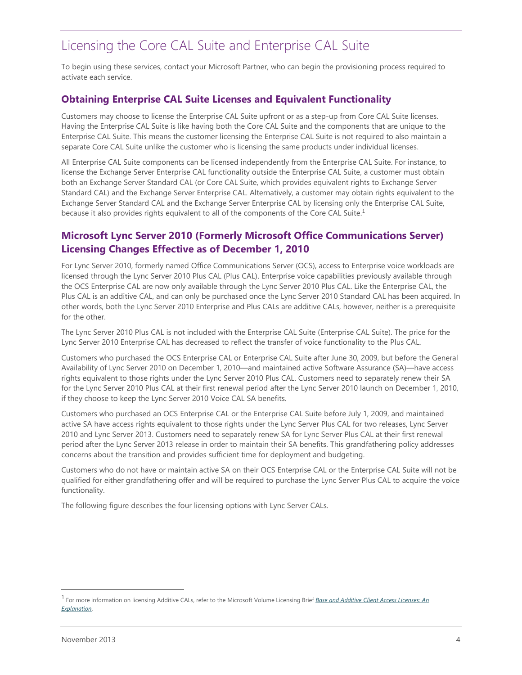To begin using these services, contact your Microsoft Partner, who can begin the provisioning process required to activate each service.

### <span id="page-3-0"></span>**Obtaining Enterprise CAL Suite Licenses and Equivalent Functionality**

Customers may choose to license the Enterprise CAL Suite upfront or as a step-up from Core CAL Suite licenses. Having the Enterprise CAL Suite is like having both the Core CAL Suite and the components that are unique to the Enterprise CAL Suite. This means the customer licensing the Enterprise CAL Suite is not required to also maintain a separate Core CAL Suite unlike the customer who is licensing the same products under individual licenses.

All Enterprise CAL Suite components can be licensed independently from the Enterprise CAL Suite. For instance, to license the Exchange Server Enterprise CAL functionality outside the Enterprise CAL Suite, a customer must obtain both an Exchange Server Standard CAL (or Core CAL Suite, which provides equivalent rights to Exchange Server Standard CAL) and the Exchange Server Enterprise CAL. Alternatively, a customer may obtain rights equivalent to the Exchange Server Standard CAL and the Exchange Server Enterprise CAL by licensing only the Enterprise CAL Suite, because it also provides rights equivalent to all of the components of the Core CAL Suite.<sup>1</sup>

### <span id="page-3-1"></span>**Microsoft Lync Server 2010 (Formerly Microsoft Office Communications Server) Licensing Changes Effective as of December 1, 2010**

For Lync Server 2010, formerly named Office Communications Server (OCS), access to Enterprise voice workloads are licensed through the Lync Server 2010 Plus CAL (Plus CAL). Enterprise voice capabilities previously available through the OCS Enterprise CAL are now only available through the Lync Server 2010 Plus CAL. Like the Enterprise CAL, the Plus CAL is an additive CAL, and can only be purchased once the Lync Server 2010 Standard CAL has been acquired. In other words, both the Lync Server 2010 Enterprise and Plus CALs are additive CALs, however, neither is a prerequisite for the other.

The Lync Server 2010 Plus CAL is not included with the Enterprise CAL Suite (Enterprise CAL Suite). The price for the Lync Server 2010 Enterprise CAL has decreased to reflect the transfer of voice functionality to the Plus CAL.

Customers who purchased the OCS Enterprise CAL or Enterprise CAL Suite after June 30, 2009, but before the General Availability of Lync Server 2010 on December 1, 2010—and maintained active Software Assurance (SA)—have access rights equivalent to those rights under the Lync Server 2010 Plus CAL. Customers need to separately renew their SA for the Lync Server 2010 Plus CAL at their first renewal period after the Lync Server 2010 launch on December 1, 2010, if they choose to keep the Lync Server 2010 Voice CAL SA benefits.

Customers who purchased an OCS Enterprise CAL or the Enterprise CAL Suite before July 1, 2009, and maintained active SA have access rights equivalent to those rights under the Lync Server Plus CAL for two releases, Lync Server 2010 and Lync Server 2013. Customers need to separately renew SA for Lync Server Plus CAL at their first renewal period after the Lync Server 2013 release in order to maintain their SA benefits. This grandfathering policy addresses concerns about the transition and provides sufficient time for deployment and budgeting.

Customers who do not have or maintain active SA on their OCS Enterprise CAL or the Enterprise CAL Suite will not be qualified for either grandfathering offer and will be required to purchase the Lync Server Plus CAL to acquire the voice functionality.

The following figure describes the four licensing options with Lync Server CALs.

l

<sup>&</sup>lt;sup>1</sup> For more information on licensing Additive CALs, refer to the Microsoft Volume Licensing Brief *Base and Additive Client Access Licenses: An [Explanation](http://www.microsoft.com/licensing/about-licensing/briefs/cal-add.aspx)*.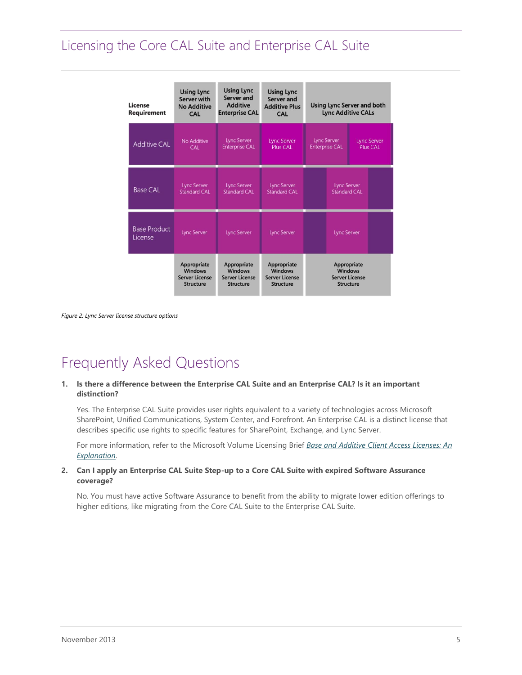| License<br><b>Requirement</b>  | <b>Using Lync</b><br>Server with<br><b>No Additive</b><br>CAL              | <b>Using Lync</b><br>Server and<br><b>Additive</b><br><b>Enterprise CAL</b> | <b>Using Lync</b><br>Server and<br><b>Additive Plus</b><br>CAL             | <b>Using Lync Server and both</b><br><b>Lync Additive CALs</b> |                                                                            |  |                                       |
|--------------------------------|----------------------------------------------------------------------------|-----------------------------------------------------------------------------|----------------------------------------------------------------------------|----------------------------------------------------------------|----------------------------------------------------------------------------|--|---------------------------------------|
| <b>Additive CAL</b>            | No Additive<br><b>CAL</b>                                                  | <b>Lync Server</b><br><b>Enterprise CAL</b>                                 | <b>Lync Server</b><br>Plus CAL                                             |                                                                | <b>Lync Server</b><br><b>Enterprise CAL</b>                                |  | <b>Lync Server</b><br><b>Plus CAL</b> |
| <b>Base CAL</b>                | Lync Server<br>Standard CAL                                                | Lync Server<br>Standard CAL                                                 | <b>Lync Server</b><br><b>Standard CAL</b>                                  |                                                                | Lync Server<br><b>Standard CAL</b>                                         |  |                                       |
| <b>Base Product</b><br>License | <b>Lync Server</b>                                                         | Lync Server                                                                 | Lync Server                                                                |                                                                | Lync Server                                                                |  |                                       |
|                                | Appropriate<br><b>Windows</b><br><b>Server License</b><br><b>Structure</b> | Appropriate<br><b>Windows</b><br><b>Server License</b><br><b>Structure</b>  | Appropriate<br><b>Windows</b><br><b>Server License</b><br><b>Structure</b> |                                                                | Appropriate<br><b>Windows</b><br><b>Server License</b><br><b>Structure</b> |  |                                       |

<span id="page-4-0"></span>*Figure 2: Lync Server license structure options*

# Frequently Asked Questions

#### **1. Is there a difference between the Enterprise CAL Suite and an Enterprise CAL? Is it an important distinction?**

Yes. The Enterprise CAL Suite provides user rights equivalent to a variety of technologies across Microsoft SharePoint, Unified Communications, System Center, and Forefront. An Enterprise CAL is a distinct license that describes specific use rights to specific features for SharePoint, Exchange, and Lync Server.

For more information, refer to the Microsoft Volume Licensing Brief *[Base and Additive Client Access Licenses: An](http://www.microsoft.com/licensing/about-licensing/briefs/cal-add.aspx)  [Explanation](http://www.microsoft.com/licensing/about-licensing/briefs/cal-add.aspx)*.

### **2. Can I apply an Enterprise CAL Suite Step-up to a Core CAL Suite with expired Software Assurance coverage?**

No. You must have active Software Assurance to benefit from the ability to migrate lower edition offerings to higher editions, like migrating from the Core CAL Suite to the Enterprise CAL Suite.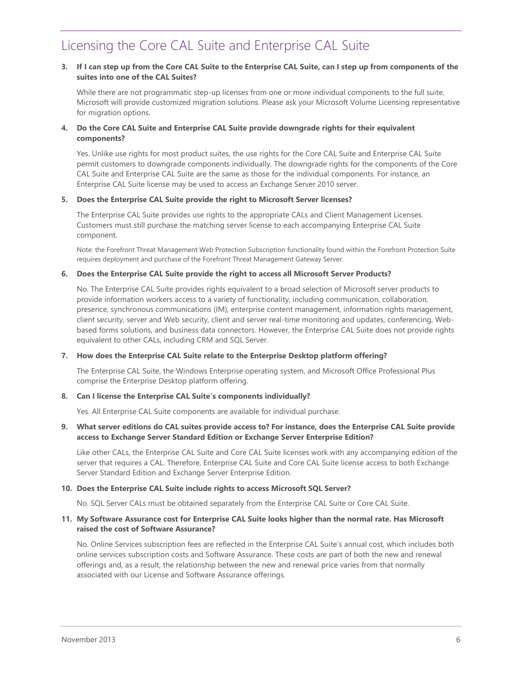### **3. If I can step up from the Core CAL Suite to the Enterprise CAL Suite, can I step up from components of the suites into one of the CAL Suites?**

While there are not programmatic step-up licenses from one or more individual components to the full suite, Microsoft will provide customized migration solutions. Please ask your Microsoft Volume Licensing representative for migration options.

### **4. Do the Core CAL Suite and Enterprise CAL Suite provide downgrade rights for their equivalent components?**

Yes. Unlike use rights for most product suites, the use rights for the Core CAL Suite and Enterprise CAL Suite permit customers to downgrade components individually. The downgrade rights for the components of the Core CAL Suite and Enterprise CAL Suite are the same as those for the individual components. For instance, an Enterprise CAL Suite license may be used to access an Exchange Server 2010 server.

### **5. Does the Enterprise CAL Suite provide the right to Microsoft Server licenses?**

The Enterprise CAL Suite provides use rights to the appropriate CALs and Client Management Licenses. Customers must still purchase the matching server license to each accompanying Enterprise CAL Suite component.

Note: the Forefront Threat Management Web Protection Subscription functionality found within the Forefront Protection Suite requires deployment and purchase of the Forefront Threat Management Gateway Server.

#### **6. Does the Enterprise CAL Suite provide the right to access all Microsoft Server Products?**

No. The Enterprise CAL Suite provides rights equivalent to a broad selection of Microsoft server products to provide information workers access to a variety of functionality, including communication, collaboration, presence, synchronous communications (IM), enterprise content management, information rights management, client security, server and Web security, client and server real-time monitoring and updates, conferencing, Webbased forms solutions, and business data connectors. However, the Enterprise CAL Suite does not provide rights equivalent to other CALs, including CRM and SQL Server.

#### **7. How does the Enterprise CAL Suite relate to the Enterprise Desktop platform offering?**

The Enterprise CAL Suite, the Windows Enterprise operating system, and Microsoft Office Professional Plus comprise the Enterprise Desktop platform offering.

#### **8. Can I license the Enterprise CAL Suite's components individually?**

Yes. All Enterprise CAL Suite components are available for individual purchase.

### **9. What server editions do CAL suites provide access to? For instance, does the Enterprise CAL Suite provide access to Exchange Server Standard Edition or Exchange Server Enterprise Edition?**

Like other CALs, the Enterprise CAL Suite and Core CAL Suite licenses work with any accompanying edition of the server that requires a CAL. Therefore, Enterprise CAL Suite and Core CAL Suite license access to both Exchange Server Standard Edition and Exchange Server Enterprise Edition.

#### **10. Does the Enterprise CAL Suite include rights to access Microsoft SQL Server?**

No. SQL Server CALs must be obtained separately from the Enterprise CAL Suite or Core CAL Suite.

### **11. My Software Assurance cost for Enterprise CAL Suite looks higher than the normal rate. Has Microsoft raised the cost of Software Assurance?**

No. Online Services subscription fees are reflected in the Enterprise CAL Suite's annual cost, which includes both online services subscription costs and Software Assurance. These costs are part of both the new and renewal offerings and, as a result, the relationship between the new and renewal price varies from that normally associated with our License and Software Assurance offerings.